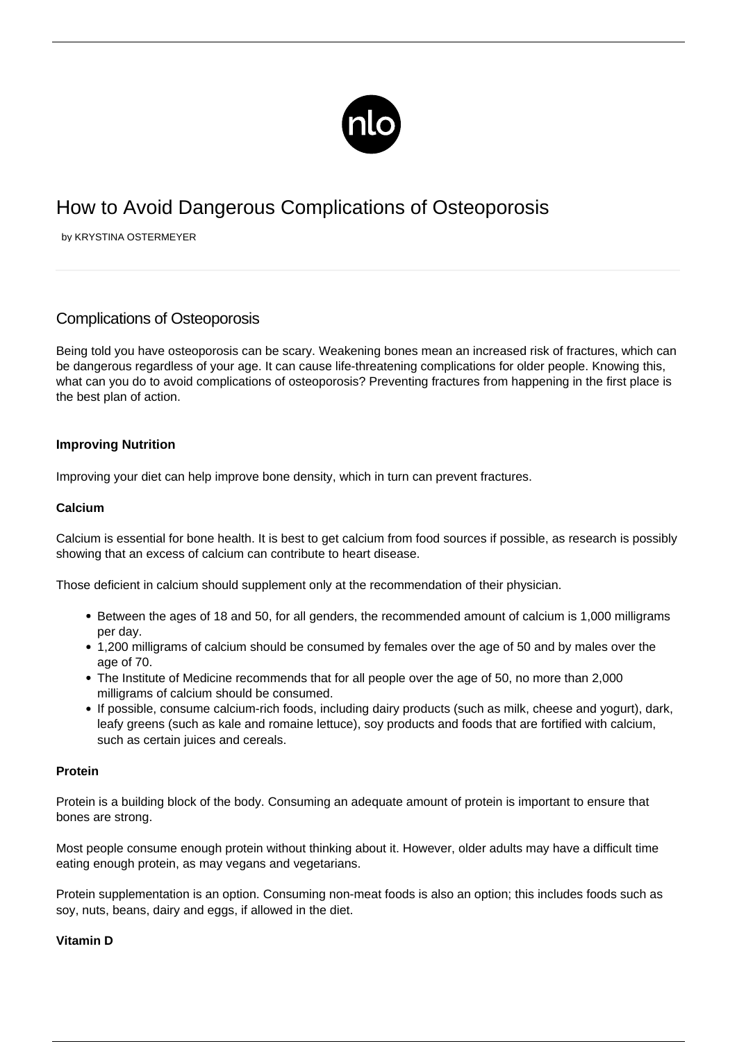

# How to Avoid Dangerous Complications of Osteoporosis

by KRYSTINA OSTERMEYER

# Complications of Osteoporosis

Being told you have osteoporosis can be scary. Weakening bones mean an increased risk of fractures, which can be dangerous regardless of your age. It can cause life-threatening complications for older people. Knowing this, what can you do to avoid complications of osteoporosis? Preventing fractures from happening in the first place is the best plan of action.

## **Improving Nutrition**

Improving your diet can help [improve bone density,](/improve-bone-density/) which in turn can prevent fractures.

### **Calcium**

Calcium is essential for bone health. It is best to get calcium from food sources if possible, as research is possibly showing that an excess of calcium can contribute to heart disease.

Those deficient in calcium should supplement only at the recommendation of their physician.

- Between the ages of 18 and 50, for all genders, the recommended amount of calcium is 1,000 milligrams per day.
- 1,200 milligrams of calcium should be consumed by females over the age of 50 and by males over the age of 70.
- The Institute of Medicine recommends that for all people over the age of 50, no more than 2,000 milligrams of calcium should be consumed.
- If possible, consume calcium-rich foods, including dairy products (such as milk, cheese and yogurt), dark, leafy greens (such as kale and romaine lettuce), soy products and foods that are fortified with calcium, such as certain juices and cereals.

#### **Protein**

Protein is a building block of the body. Consuming an adequate amount of protein is important to ensure that bones are strong.

Most people consume enough protein without thinking about it. However, older adults may have a difficult time eating enough protein, as may vegans and vegetarians.

Protein supplementation is an option. Consuming non-meat foods is also an option; this includes foods such as soy, nuts, beans, dairy and eggs, if allowed in the diet.

#### **Vitamin D**